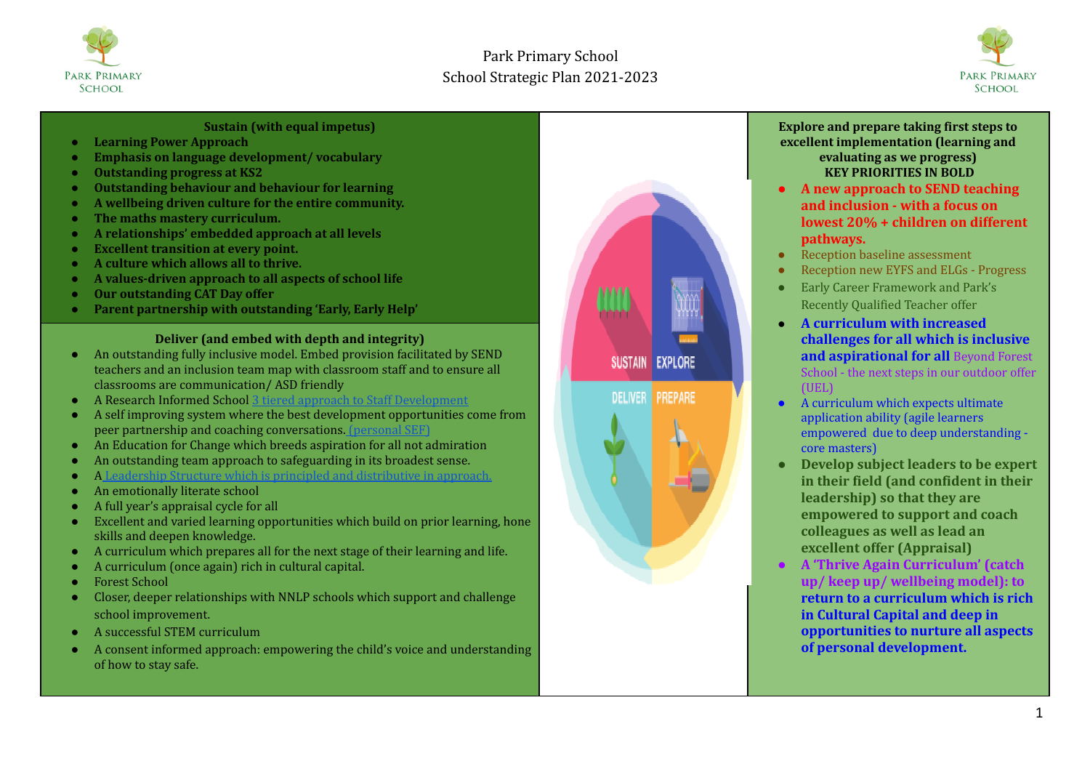



#### **Sustain (with equal impetus)**

- **● Learning Power Approach**
- **● Emphasis on language development/ vocabulary**
- **● Outstanding progress at KS2**
- **● Outstanding behaviour and behaviour for learning**
- **● A wellbeing driven culture for the entire community.**
- **● The maths mastery curriculum.**
- **● A relationships' embedded approach at all levels**
- **● Excellent transition at every point.**
- **● A culture which allows all to thrive.**
- **● A values-driven approach to all aspects of school life**
- **● Our outstanding CAT Day offer**
- **● Parent partnership with outstanding 'Early, Early Help'**

### **Deliver (and embed with depth and integrity)**

- An outstanding fully inclusive model. Embed provision facilitated by SEND teachers and an inclusion team map with classroom staff and to ensure all classrooms are communication/ ASD friendly
- A Research Informed School 3 tiered approach to Staff [Development](https://docs.google.com/document/d/1xz-5Z9w7DW3PRZEZbYENBEH6BhUiuRyRVro3v7JP0As/edit)
- A self improving system where the best development opportunities come from peer partnership and coaching conversations. [\(personal](https://docs.google.com/document/d/1MAAxVc8WP5aj3C54obBhz06zGmt-gmnyUBbjikraYDk/edit) SEF)
- An Education for Change which breeds aspiration for all not admiration
- An outstanding team approach to safeguarding in its broadest sense.
- A Leadership Structure which is principled and [distributive](https://docs.google.com/document/d/1n5dH2jkLo_3vTjOOnScFJ8x5q4V9fmGRkbvkcYl1QgU/edit) in approach.
- An emotionally literate school
- A full year's appraisal cycle for all
- $\overline{E}$  Excellent and varied learning opportunities which build on prior learning, hone skills and deepen knowledge.
- A curriculum which prepares all for the next stage of their learning and life.
- A curriculum (once again) rich in cultural capital.
- Forest School
- Closer, deeper relationships with NNLP schools which support and challenge school improvement.
- A successful STEM curriculum
- A consent informed approach: empowering the child's voice and understanding of how to stay safe.



#### **Explore and prepare taking first steps to excellent implementation (learning and evaluating as we progress) KEY PRIORITIES IN BOLD**

- **● A new approach to SEND teaching and inclusion - with a focus on lowest 20% + children on different pathways.**
- Reception baseline assessment
- Reception new EYFS and ELGs Progress
- Early Career Framework and Park's Recently Qualified Teacher offer
- **A curriculum with increased challenges for all which is inclusive and aspirational for all** Beyond Forest School - the next steps in our outdoor offer (UEL)
- A curriculum which expects ultimate application ability (agile learners empowered due to deep understanding core masters)
- **● Develop subject leaders to be expert in their field (and confident in their leadership) so that they are empowered to support and coach colleagues as well as lead an excellent offer (Appraisal)**
- **● A 'Thrive Again Curriculum' (catch up/ keep up/ wellbeing model): to return to a curriculum which is rich in Cultural Capital and deep in opportunities to nurture all aspects of personal development.**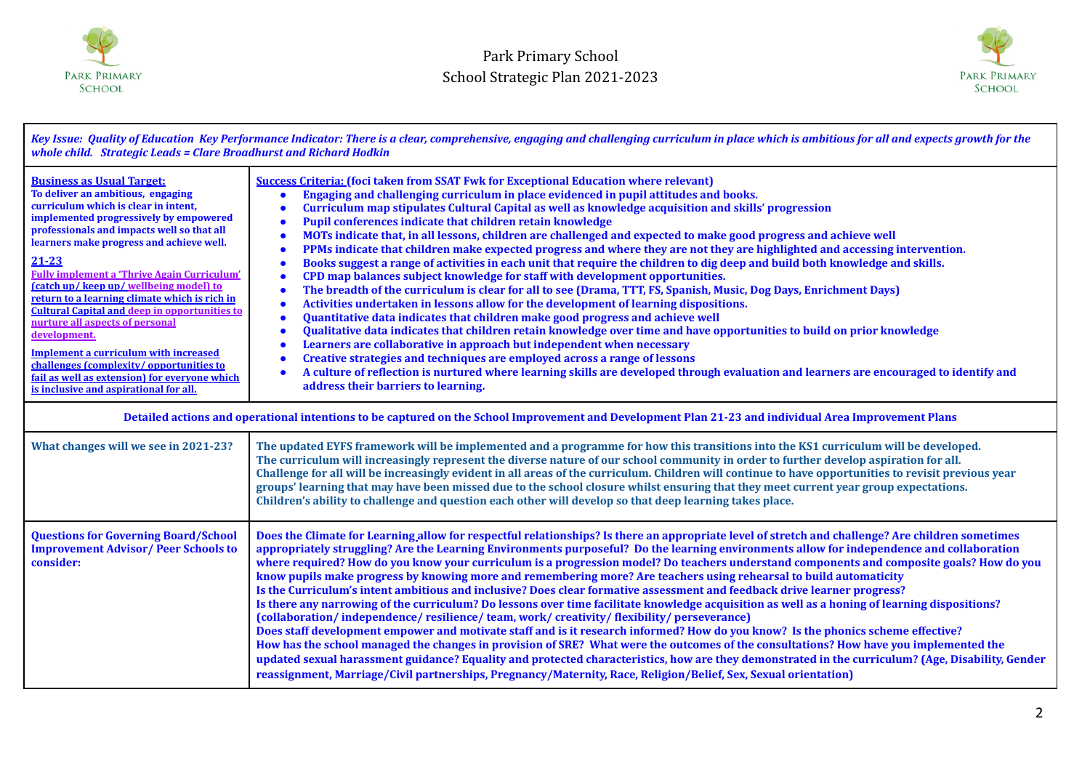



| Key Issue: Quality of Education Key Performance Indicator: There is a clear, comprehensive, engaging and challenging curriculum in place which is ambitious for all and expects growth for the<br>whole child. Strategic Leads = Clare Broadhurst and Richard Hodkin                                                                                                                                                                                                                                                                                                                                                                                                                                            |                                                                                                                                                                                                                                                                                                                                                                                                                                                                                                                                                                                                                                                                                                                                                                                                                                                                                                                                                                                                                                                                                                                                                                                                                                                                                                                                                                                                                                                                                                                                                                                                                     |  |
|-----------------------------------------------------------------------------------------------------------------------------------------------------------------------------------------------------------------------------------------------------------------------------------------------------------------------------------------------------------------------------------------------------------------------------------------------------------------------------------------------------------------------------------------------------------------------------------------------------------------------------------------------------------------------------------------------------------------|---------------------------------------------------------------------------------------------------------------------------------------------------------------------------------------------------------------------------------------------------------------------------------------------------------------------------------------------------------------------------------------------------------------------------------------------------------------------------------------------------------------------------------------------------------------------------------------------------------------------------------------------------------------------------------------------------------------------------------------------------------------------------------------------------------------------------------------------------------------------------------------------------------------------------------------------------------------------------------------------------------------------------------------------------------------------------------------------------------------------------------------------------------------------------------------------------------------------------------------------------------------------------------------------------------------------------------------------------------------------------------------------------------------------------------------------------------------------------------------------------------------------------------------------------------------------------------------------------------------------|--|
| <b>Business as Usual Target:</b><br>To deliver an ambitious, engaging<br>curriculum which is clear in intent,<br>implemented progressively by empowered<br>professionals and impacts well so that all<br>learners make progress and achieve well.<br>$21 - 23$<br><b>Fully implement a 'Thrive Again Curriculum'</b><br>(catch up/keep up/wellbeing model) to<br>return to a learning climate which is rich in<br><b>Cultural Capital and deep in opportunities to</b><br>nurture all aspects of personal<br>development.<br><b>Implement a curriculum with increased</b><br>challenges (complexity/opportunities to<br>fail as well as extension) for everyone which<br>is inclusive and aspirational for all. | <b>Success Criteria: (foci taken from SSAT Fwk for Exceptional Education where relevant)</b><br>Engaging and challenging curriculum in place evidenced in pupil attitudes and books.<br>Curriculum map stipulates Cultural Capital as well as knowledge acquisition and skills' progression<br>Pupil conferences indicate that children retain knowledge<br>MOTs indicate that, in all lessons, children are challenged and expected to make good progress and achieve well<br>c<br>PPMs indicate that children make expected progress and where they are not they are highlighted and accessing intervention.<br>c<br>Books suggest a range of activities in each unit that require the children to dig deep and build both knowledge and skills.<br>CPD map balances subject knowledge for staff with development opportunities.<br>The breadth of the curriculum is clear for all to see (Drama, TTT, FS, Spanish, Music, Dog Days, Enrichment Days)<br>Activities undertaken in lessons allow for the development of learning dispositions.<br>$\bullet$<br>Quantitative data indicates that children make good progress and achieve well<br>٠<br>Qualitative data indicates that children retain knowledge over time and have opportunities to build on prior knowledge<br>Learners are collaborative in approach but independent when necessary<br>Creative strategies and techniques are employed across a range of lessons<br>A culture of reflection is nurtured where learning skills are developed through evaluation and learners are encouraged to identify and<br>address their barriers to learning. |  |
| Detailed actions and operational intentions to be captured on the School Improvement and Development Plan 21-23 and individual Area Improvement Plans                                                                                                                                                                                                                                                                                                                                                                                                                                                                                                                                                           |                                                                                                                                                                                                                                                                                                                                                                                                                                                                                                                                                                                                                                                                                                                                                                                                                                                                                                                                                                                                                                                                                                                                                                                                                                                                                                                                                                                                                                                                                                                                                                                                                     |  |
| What changes will we see in 2021-23?                                                                                                                                                                                                                                                                                                                                                                                                                                                                                                                                                                                                                                                                            | The updated EYFS framework will be implemented and a programme for how this transitions into the KS1 curriculum will be developed.<br>The curriculum will increasingly represent the diverse nature of our school community in order to further develop aspiration for all.<br>Challenge for all will be increasingly evident in all areas of the curriculum. Children will continue to have opportunities to revisit previous year<br>groups' learning that may have been missed due to the school closure whilst ensuring that they meet current year group expectations.<br>Children's ability to challenge and question each other will develop so that deep learning takes place.                                                                                                                                                                                                                                                                                                                                                                                                                                                                                                                                                                                                                                                                                                                                                                                                                                                                                                                              |  |
| <b>Questions for Governing Board/School</b><br><b>Improvement Advisor/Peer Schools to</b><br>consider:                                                                                                                                                                                                                                                                                                                                                                                                                                                                                                                                                                                                          | Does the Climate for Learning allow for respectful relationships? Is there an appropriate level of stretch and challenge? Are children sometimes<br>appropriately struggling? Are the Learning Environments purposeful? Do the learning environments allow for independence and collaboration<br>where required? How do you know your curriculum is a progression model? Do teachers understand components and composite goals? How do you<br>know pupils make progress by knowing more and remembering more? Are teachers using rehearsal to build automaticity<br>Is the Curriculum's intent ambitious and inclusive? Does clear formative assessment and feedback drive learner progress?<br>Is there any narrowing of the curriculum? Do lessons over time facilitate knowledge acquisition as well as a honing of learning dispositions?<br>(collaboration/independence/resilience/team, work/creativity/flexibility/perseverance)<br>Does staff development empower and motivate staff and is it research informed? How do you know? Is the phonics scheme effective?<br>How has the school managed the changes in provision of SRE? What were the outcomes of the consultations? How have you implemented the<br>updated sexual harassment guidance? Equality and protected characteristics, how are they demonstrated in the curriculum? (Age, Disability, Gender<br>reassignment, Marriage/Civil partnerships, Pregnancy/Maternity, Race, Religion/Belief, Sex, Sexual orientation)                                                                                                                        |  |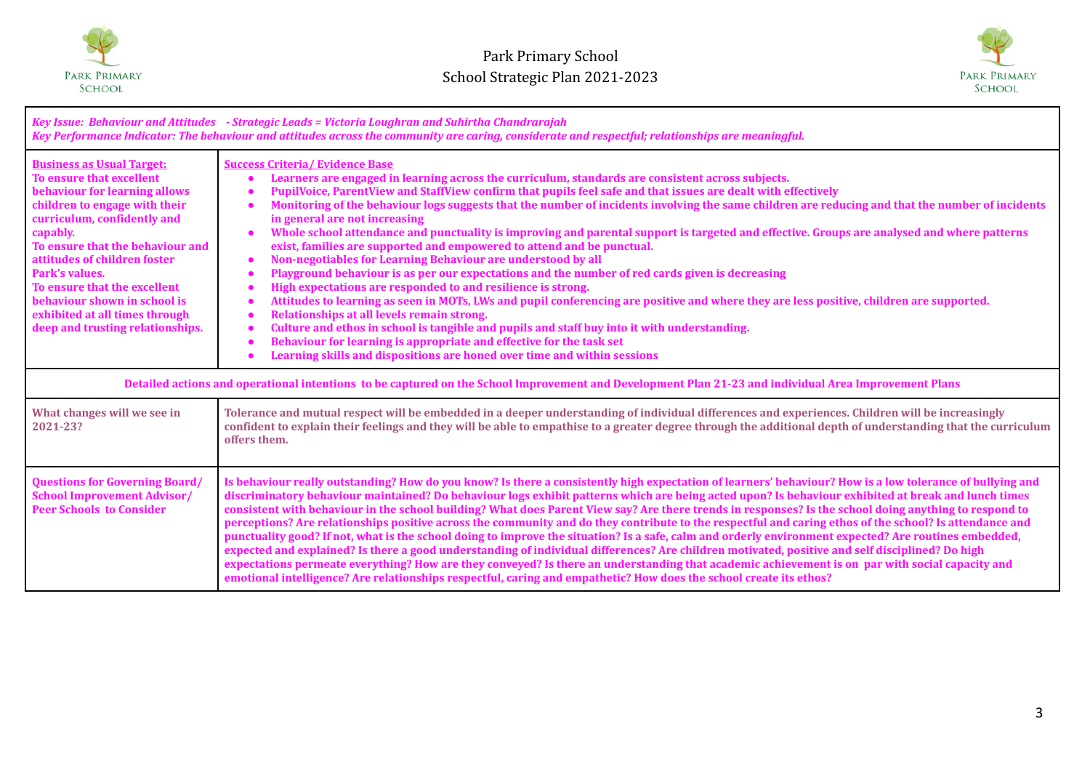



| Key Issue: Behaviour and Attitudes - Strategic Leads = Victoria Loughran and Suhirtha Chandrarajah<br>Key Performance Indicator: The behaviour and attitudes across the community are caring, considerate and respectful; relationships are meaningful.                                                                                                                                               |                                                                                                                                                                                                                                                                                                                                                                                                                                                                                                                                                                                                                                                                                                                                                                                                                                                                                                                                                                                                                                                                                                                                                                                                                                                                                                                                                                                                                 |  |
|-------------------------------------------------------------------------------------------------------------------------------------------------------------------------------------------------------------------------------------------------------------------------------------------------------------------------------------------------------------------------------------------------------|-----------------------------------------------------------------------------------------------------------------------------------------------------------------------------------------------------------------------------------------------------------------------------------------------------------------------------------------------------------------------------------------------------------------------------------------------------------------------------------------------------------------------------------------------------------------------------------------------------------------------------------------------------------------------------------------------------------------------------------------------------------------------------------------------------------------------------------------------------------------------------------------------------------------------------------------------------------------------------------------------------------------------------------------------------------------------------------------------------------------------------------------------------------------------------------------------------------------------------------------------------------------------------------------------------------------------------------------------------------------------------------------------------------------|--|
| <b>Business as Usual Target:</b><br>To ensure that excellent<br>behaviour for learning allows<br>children to engage with their<br>curriculum, confidently and<br>capably.<br>To ensure that the behaviour and<br>attitudes of children foster<br>Park's values.<br>To ensure that the excellent<br>behaviour shown in school is<br>exhibited at all times through<br>deep and trusting relationships. | <b>Success Criteria/ Evidence Base</b><br>Learners are engaged in learning across the curriculum, standards are consistent across subjects.<br>$\bullet$<br>PupilVoice, ParentView and StaffView confirm that pupils feel safe and that issues are dealt with effectively<br>Monitoring of the behaviour logs suggests that the number of incidents involving the same children are reducing and that the number of incidents<br>in general are not increasing<br>Whole school attendance and punctuality is improving and parental support is targeted and effective. Groups are analysed and where patterns<br>exist, families are supported and empowered to attend and be punctual.<br>Non-negotiables for Learning Behaviour are understood by all<br>$\bullet$<br>Playground behaviour is as per our expectations and the number of red cards given is decreasing<br>High expectations are responded to and resilience is strong.<br>Attitudes to learning as seen in MOTs, LWs and pupil conferencing are positive and where they are less positive, children are supported.<br>Relationships at all levels remain strong.<br>Culture and ethos in school is tangible and pupils and staff buy into it with understanding.<br>$\bullet$<br>Behaviour for learning is appropriate and effective for the task set<br>$\bullet$<br>Learning skills and dispositions are honed over time and within sessions |  |
| Detailed actions and operational intentions to be captured on the School Improvement and Development Plan 21-23 and individual Area Improvement Plans                                                                                                                                                                                                                                                 |                                                                                                                                                                                                                                                                                                                                                                                                                                                                                                                                                                                                                                                                                                                                                                                                                                                                                                                                                                                                                                                                                                                                                                                                                                                                                                                                                                                                                 |  |
| What changes will we see in<br>2021-23?                                                                                                                                                                                                                                                                                                                                                               | Tolerance and mutual respect will be embedded in a deeper understanding of individual differences and experiences. Children will be increasingly<br>confident to explain their feelings and they will be able to empathise to a greater degree through the additional depth of understanding that the curriculum<br>offers them.                                                                                                                                                                                                                                                                                                                                                                                                                                                                                                                                                                                                                                                                                                                                                                                                                                                                                                                                                                                                                                                                                |  |
| <b>Questions for Governing Board/</b><br><b>School Improvement Advisor/</b><br><b>Peer Schools to Consider</b>                                                                                                                                                                                                                                                                                        | Is behaviour really outstanding? How do you know? Is there a consistently high expectation of learners' behaviour? How is a low tolerance of bullying and<br>discriminatory behaviour maintained? Do behaviour logs exhibit patterns which are being acted upon? Is behaviour exhibited at break and lunch times<br>consistent with behaviour in the school building? What does Parent View say? Are there trends in responses? Is the school doing anything to respond to<br>perceptions? Are relationships positive across the community and do they contribute to the respectful and caring ethos of the school? Is attendance and<br>punctuality good? If not, what is the school doing to improve the situation? Is a safe, calm and orderly environment expected? Are routines embedded,<br>expected and explained? Is there a good understanding of individual differences? Are children motivated, positive and self disciplined? Do high<br>expectations permeate everything? How are they conveyed? Is there an understanding that academic achievement is on par with social capacity and<br>emotional intelligence? Are relationships respectful, caring and empathetic? How does the school create its ethos?                                                                                                                                                                                      |  |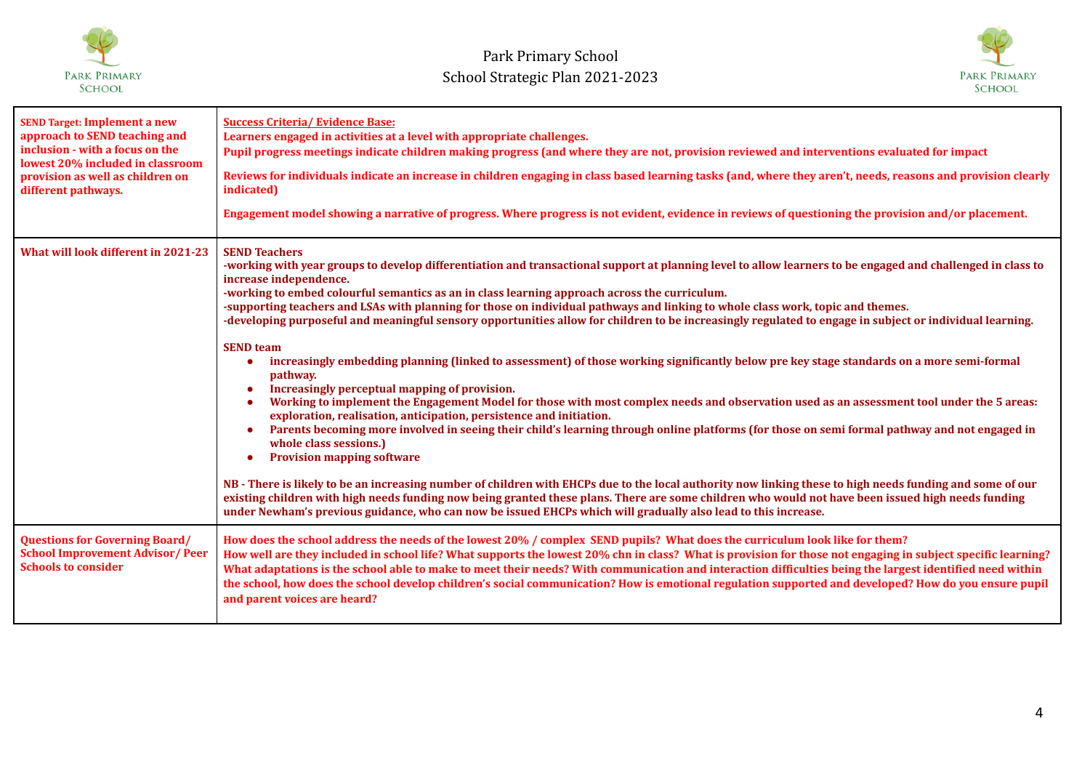



| <b>SEND Target: Implement a new</b><br>approach to SEND teaching and<br>inclusion - with a focus on the<br>lowest 20% included in classroom<br>provision as well as children on<br>different pathways. | <b>Success Criteria/ Evidence Base:</b><br>Learners engaged in activities at a level with appropriate challenges.<br>Pupil progress meetings indicate children making progress (and where they are not, provision reviewed and interventions evaluated for impact<br>Reviews for individuals indicate an increase in children engaging in class based learning tasks (and, where they aren't, needs, reasons and provision clearly<br>indicated)<br>Engagement model showing a narrative of progress. Where progress is not evident, evidence in reviews of questioning the provision and/or placement.                                                                                                                                                                                                                                                                                                                                                                                                                                                                                                                                                                                                                                                                                                                                                                                                                                                                                                                                                                                                                                                                                                            |
|--------------------------------------------------------------------------------------------------------------------------------------------------------------------------------------------------------|--------------------------------------------------------------------------------------------------------------------------------------------------------------------------------------------------------------------------------------------------------------------------------------------------------------------------------------------------------------------------------------------------------------------------------------------------------------------------------------------------------------------------------------------------------------------------------------------------------------------------------------------------------------------------------------------------------------------------------------------------------------------------------------------------------------------------------------------------------------------------------------------------------------------------------------------------------------------------------------------------------------------------------------------------------------------------------------------------------------------------------------------------------------------------------------------------------------------------------------------------------------------------------------------------------------------------------------------------------------------------------------------------------------------------------------------------------------------------------------------------------------------------------------------------------------------------------------------------------------------------------------------------------------------------------------------------------------------|
| What will look different in 2021-23                                                                                                                                                                    | <b>SEND Teachers</b><br>-working with year groups to develop differentiation and transactional support at planning level to allow learners to be engaged and challenged in class to<br>increase independence.<br>-working to embed colourful semantics as an in class learning approach across the curriculum.<br>-supporting teachers and LSAs with planning for those on individual pathways and linking to whole class work, topic and themes.<br>-developing purposeful and meaningful sensory opportunities allow for children to be increasingly regulated to engage in subject or individual learning.<br><b>SEND team</b><br>increasingly embedding planning (linked to assessment) of those working significantly below pre key stage standards on a more semi-formal<br>pathway.<br>Increasingly perceptual mapping of provision.<br>Working to implement the Engagement Model for those with most complex needs and observation used as an assessment tool under the 5 areas:<br>exploration, realisation, anticipation, persistence and initiation.<br>Parents becoming more involved in seeing their child's learning through online platforms (for those on semi formal pathway and not engaged in<br>whole class sessions.)<br><b>Provision mapping software</b><br>NB-There is likely to be an increasing number of children with EHCPs due to the local authority now linking these to high needs funding and some of our<br>existing children with high needs funding now being granted these plans. There are some children who would not have been issued high needs funding<br>under Newham's previous guidance, who can now be issued EHCPs which will gradually also lead to this increase. |
| <b>Questions for Governing Board/</b><br><b>School Improvement Advisor/Peer</b><br><b>Schools to consider</b>                                                                                          | How does the school address the needs of the lowest 20% / complex SEND pupils? What does the curriculum look like for them?<br>How well are they included in school life? What supports the lowest 20% chn in class? What is provision for those not engaging in subject specific learning?<br>What adaptations is the school able to make to meet their needs? With communication and interaction difficulties being the largest identified need within<br>the school, how does the school develop children's social communication? How is emotional regulation supported and developed? How do you ensure pupil<br>and parent voices are heard?                                                                                                                                                                                                                                                                                                                                                                                                                                                                                                                                                                                                                                                                                                                                                                                                                                                                                                                                                                                                                                                                  |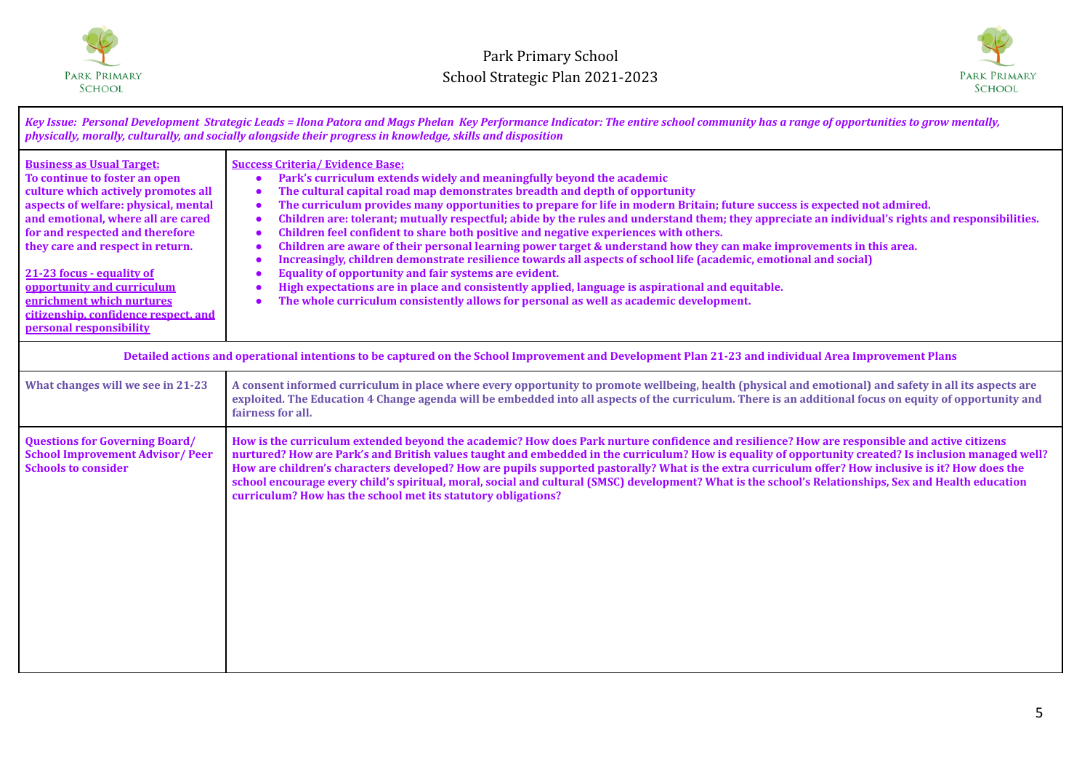



*Key Issue: Personal Development Strategic Leads = Ilona Patora and Mags Phelan Key Performance Indicator: The entire school community has a range of opportunities to grow mentally, physically, morally, culturally, and socially alongside their progress in knowledge, skills and disposition* **Business as Usual Target: To continue to foster an open culture which actively promotes all aspects of welfare: physical, mental and emotional, where all are cared for and respected and therefore they care and respect in return. 21-23 focus - equality of opportunity and curriculum enrichment which nurtures citizenship, confidence respect, and personal responsibility Success Criteria/ Evidence Base: ● Park's curriculum extends widely and meaningfully beyond the academic ● The cultural capital road map demonstrates breadth and depth of opportunity ● The curriculum provides many opportunities to prepare for life in modern Britain; future success is expected not admired. ● Children are: tolerant; mutually respectful; abide by the rules and understand them; they appreciate an individual's rights and responsibilities. ● Children feel confident to share both positive and negative experiences with others. ● Children are aware of their personal learning power target & understand how they can make improvements in this area. ● Increasingly, children demonstrate resilience towards all aspects of school life (academic, emotional and social) ● Equality of opportunity and fair systems are evident. ● High expectations are in place and consistently applied, language is aspirational and equitable. ● The whole curriculum consistently allows for personal as well as academic development. Detailed actions and operational intentions to be captured on the School Improvement and Development Plan 21-23 and individual Area Improvement Plans** What changes will we see in 21-23 A consent informed curriculum in place where every opportunity to promote wellbeing, health (physical and emotional) and safety in all its aspects are **exploited. The Education 4 Change agenda will be embedded into all aspects of the curriculum. There is an additional focus on equity of opportunity and fairness for all. Questions for Governing Board/ School Improvement Advisor/ Peer Schools to consider How is the curriculum extended beyond the academic? How does Park nurture confidence and resilience? How are responsible and active citizens nurtured? How are Park's and British values taught and embedded in the curriculum? How is equality of opportunity created? Is inclusion managed well? How are children's characters developed? How are pupils supported pastorally? What is the extra curriculum offer? How inclusive is it? How does the school encourage every child's spiritual, moral, social and cultural (SMSC) development? What is the school's Relationships, Sex and Health education curriculum? How has the school met its statutory obligations?**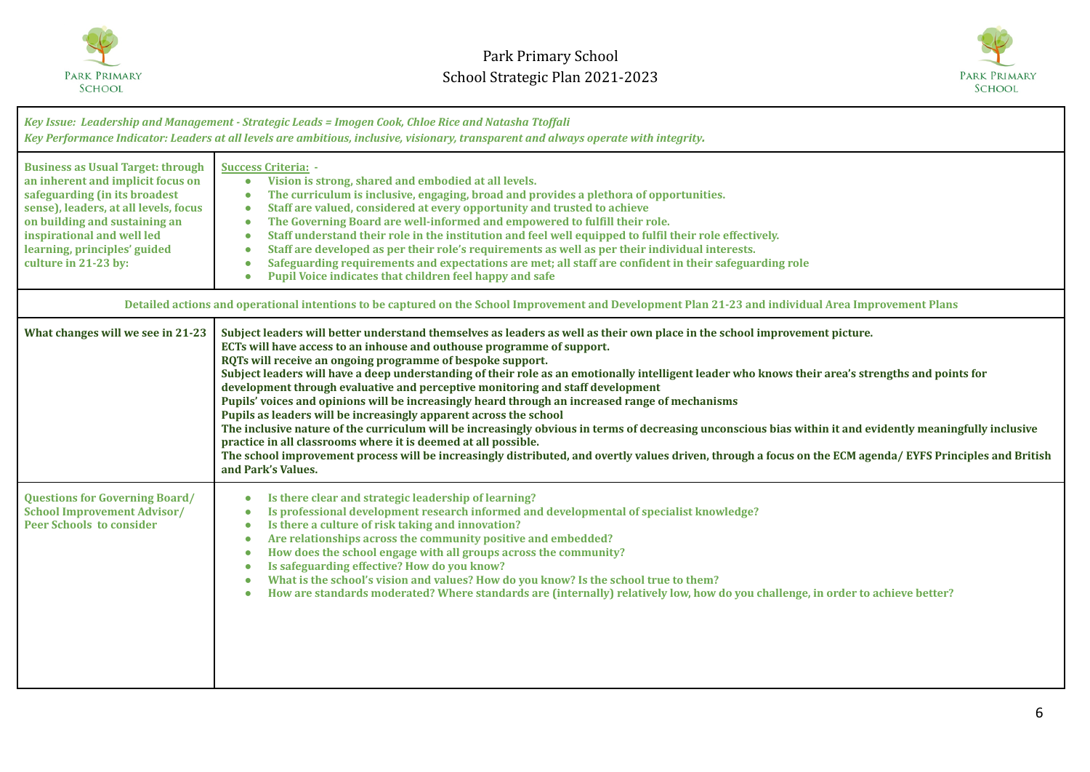



| Key Issue: Leadership and Management - Strategic Leads = Imogen Cook, Chloe Rice and Natasha Ttoffali<br>Key Performance Indicator: Leaders at all levels are ambitious, inclusive, visionary, transparent and always operate with integrity.                                  |                                                                                                                                                                                                                                                                                                                                                                                                                                                                                                                                                                                                                                                                                                                                                                                                                                                                                                                                                                                                                                                                                                      |  |
|--------------------------------------------------------------------------------------------------------------------------------------------------------------------------------------------------------------------------------------------------------------------------------|------------------------------------------------------------------------------------------------------------------------------------------------------------------------------------------------------------------------------------------------------------------------------------------------------------------------------------------------------------------------------------------------------------------------------------------------------------------------------------------------------------------------------------------------------------------------------------------------------------------------------------------------------------------------------------------------------------------------------------------------------------------------------------------------------------------------------------------------------------------------------------------------------------------------------------------------------------------------------------------------------------------------------------------------------------------------------------------------------|--|
| <b>Business as Usual Target: through</b><br>an inherent and implicit focus on<br>safeguarding (in its broadest<br>sense), leaders, at all levels, focus<br>on building and sustaining an<br>inspirational and well led<br>learning, principles' guided<br>culture in 21-23 by: | <b>Success Criteria: -</b><br>Vision is strong, shared and embodied at all levels.<br>$\bullet$<br>The curriculum is inclusive, engaging, broad and provides a plethora of opportunities.<br>$\bullet$<br>Staff are valued, considered at every opportunity and trusted to achieve<br>$\bullet$<br>The Governing Board are well-informed and empowered to fulfill their role.<br>$\bullet$<br>Staff understand their role in the institution and feel well equipped to fulfil their role effectively.<br>$\bullet$<br>Staff are developed as per their role's requirements as well as per their individual interests.<br>$\bullet$<br>Safeguarding requirements and expectations are met; all staff are confident in their safeguarding role<br>$\bullet$<br>Pupil Voice indicates that children feel happy and safe<br>$\bullet$                                                                                                                                                                                                                                                                    |  |
| Detailed actions and operational intentions to be captured on the School Improvement and Development Plan 21-23 and individual Area Improvement Plans                                                                                                                          |                                                                                                                                                                                                                                                                                                                                                                                                                                                                                                                                                                                                                                                                                                                                                                                                                                                                                                                                                                                                                                                                                                      |  |
| What changes will we see in 21-23                                                                                                                                                                                                                                              | Subject leaders will better understand themselves as leaders as well as their own place in the school improvement picture.<br>ECTs will have access to an inhouse and outhouse programme of support.<br>RQTs will receive an ongoing programme of bespoke support.<br>Subject leaders will have a deep understanding of their role as an emotionally intelligent leader who knows their area's strengths and points for<br>development through evaluative and perceptive monitoring and staff development<br>Pupils' voices and opinions will be increasingly heard through an increased range of mechanisms<br>Pupils as leaders will be increasingly apparent across the school<br>The inclusive nature of the curriculum will be increasingly obvious in terms of decreasing unconscious bias within it and evidently meaningfully inclusive<br>practice in all classrooms where it is deemed at all possible.<br>The school improvement process will be increasingly distributed, and overtly values driven, through a focus on the ECM agenda/EYFS Principles and British<br>and Park's Values. |  |
| <b>Questions for Governing Board/</b><br><b>School Improvement Advisor/</b><br><b>Peer Schools to consider</b>                                                                                                                                                                 | Is there clear and strategic leadership of learning?<br>$\bullet$<br>Is professional development research informed and developmental of specialist knowledge?<br>$\bullet$<br>Is there a culture of risk taking and innovation?<br>$\bullet$<br>Are relationships across the community positive and embedded?<br>$\bullet$<br>How does the school engage with all groups across the community?<br>$\bullet$<br>Is safeguarding effective? How do you know?<br>$\bullet$<br>What is the school's vision and values? How do you know? Is the school true to them?<br>$\bullet$<br>How are standards moderated? Where standards are (internally) relatively low, how do you challenge, in order to achieve better?<br>$\bullet$                                                                                                                                                                                                                                                                                                                                                                         |  |